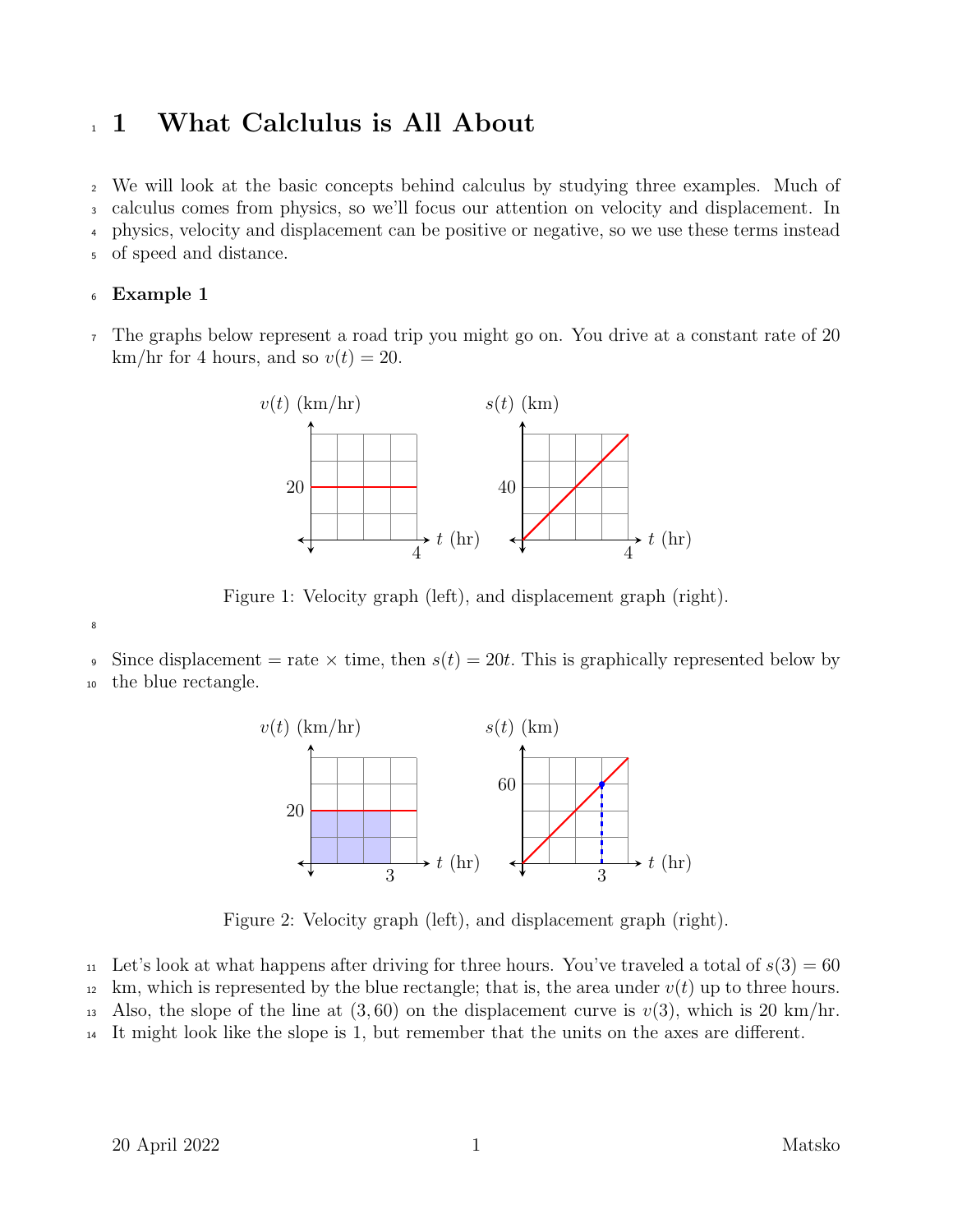## <sup>1</sup> 1 What Calclulus is All About

 We will look at the basic concepts behind calculus by studying three examples. Much of calculus comes from physics, so we'll focus our attention on velocity and displacement. In physics, velocity and displacement can be positive or negative, so we use these terms instead of speed and distance.

## <sup>6</sup> Example 1

<sup>7</sup> The graphs below represent a road trip you might go on. You drive at a constant rate of 20 km/hr for 4 hours, and so  $v(t) = 20$ .



Figure 1: Velocity graph (left), and displacement graph (right).

9 Since displacement = rate  $\times$  time, then  $s(t) = 20t$ . This is graphically represented below by

<sup>10</sup> the blue rectangle.

8



Figure 2: Velocity graph (left), and displacement graph (right).

- <sup>11</sup> Let's look at what happens after driving for three hours. You've traveled a total of  $s(3) = 60$
- $12 \text{ km}$ , which is represented by the blue rectangle; that is, the area under  $v(t)$  up to three hours.
- 13 Also, the slope of the line at  $(3, 60)$  on the displacement curve is  $v(3)$ , which is 20 km/hr.
- <sup>14</sup> It might look like the slope is 1, but remember that the units on the axes are different.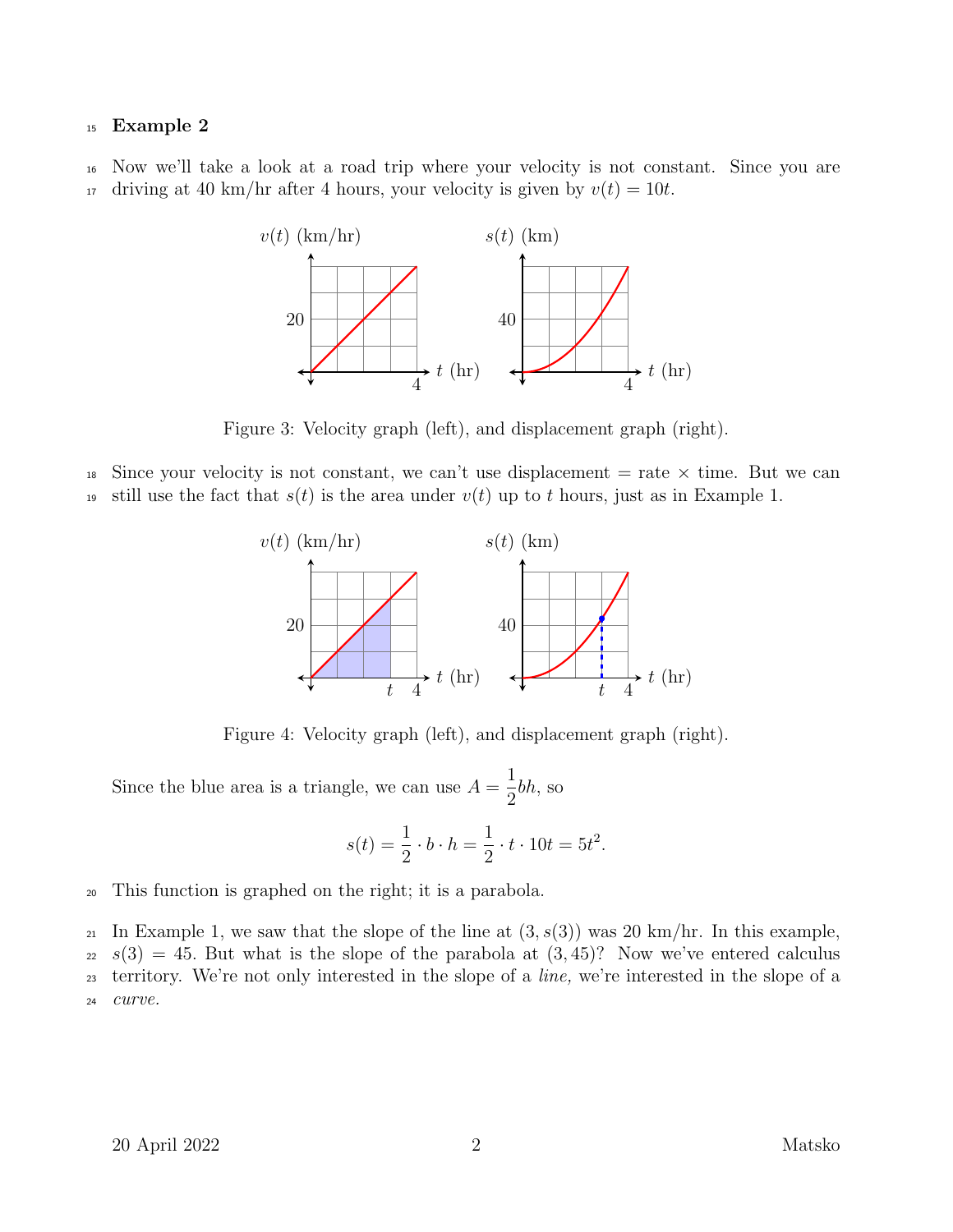## <sup>15</sup> Example 2

<sup>16</sup> Now we'll take a look at a road trip where your velocity is not constant. Since you are 17 driving at 40 km/hr after 4 hours, your velocity is given by  $v(t) = 10t$ .



Figure 3: Velocity graph (left), and displacement graph (right).

<sup>18</sup> Since your velocity is not constant, we can't use displacement  $=$  rate  $\times$  time. But we can 19 still use the fact that  $s(t)$  is the area under  $v(t)$  up to t hours, just as in Example 1.



Figure 4: Velocity graph (left), and displacement graph (right).

Since the blue area is a triangle, we can use  $A =$ 1 2 bh, so

$$
s(t) = \frac{1}{2} \cdot b \cdot h = \frac{1}{2} \cdot t \cdot 10t = 5t^2.
$$

<sup>20</sup> This function is graphed on the right; it is a parabola.

21 In Example 1, we saw that the slope of the line at  $(3, s(3))$  was 20 km/hr. In this example,  $22 \text{ } s(3) = 45$ . But what is the slope of the parabola at  $(3, 45)$ ? Now we've entered calculus <sup>23</sup> territory. We're not only interested in the slope of a line, we're interested in the slope of a <sup>24</sup> curve.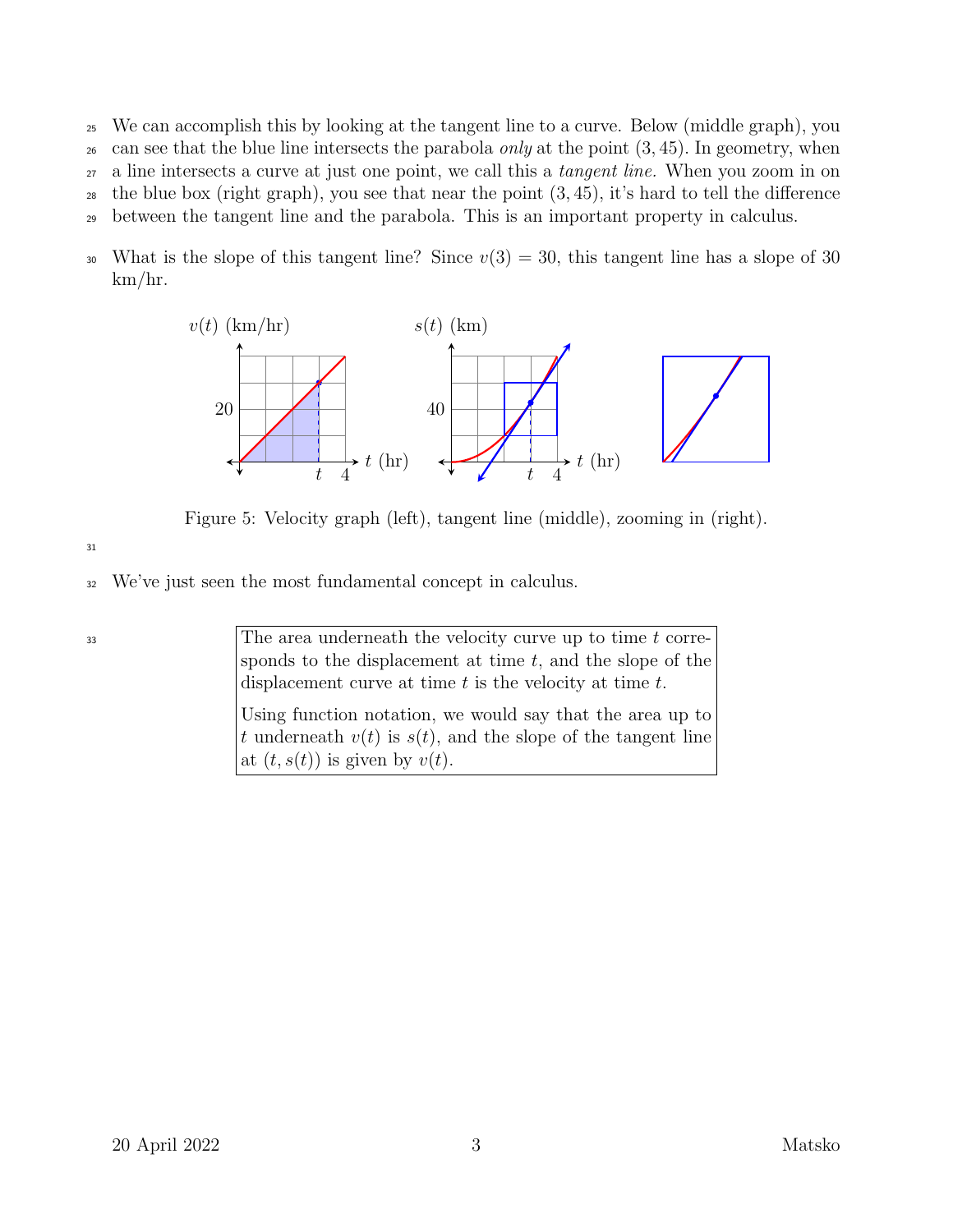- <sup>25</sup> We can accomplish this by looking at the tangent line to a curve. Below (middle graph), you <sup>26</sup> can see that the blue line intersects the parabola *only* at the point  $(3, 45)$ . In geometry, when <sup>27</sup> a line intersects a curve at just one point, we call this a tangent line. When you zoom in on <sup>28</sup> the blue box (right graph), you see that near the point  $(3, 45)$ , it's hard to tell the difference <sup>29</sup> between the tangent line and the parabola. This is an important property in calculus.
- 30 What is the slope of this tangent line? Since  $v(3) = 30$ , this tangent line has a slope of 30 km/hr.



Figure 5: Velocity graph (left), tangent line (middle), zooming in (right).

31

33

<sup>32</sup> We've just seen the most fundamental concept in calculus.

The area underneath the velocity curve up to time  $t$  corresponds to the displacement at time  $t$ , and the slope of the displacement curve at time  $t$  is the velocity at time  $t$ .

Using function notation, we would say that the area up to t underneath  $v(t)$  is  $s(t)$ , and the slope of the tangent line at  $(t, s(t))$  is given by  $v(t)$ .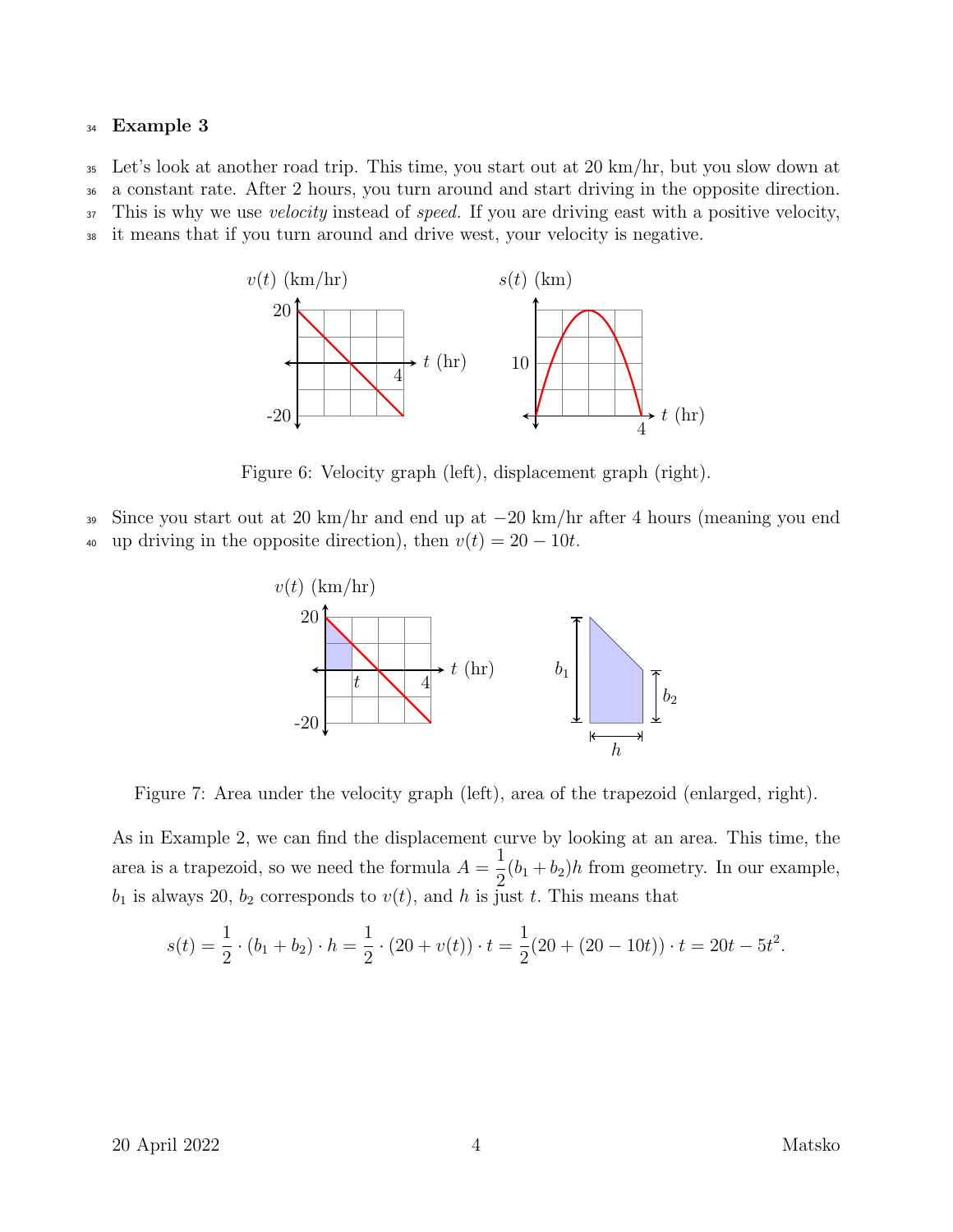## <sup>34</sup> Example 3

<sup>35</sup> Let's look at another road trip. This time, you start out at 20 km/hr, but you slow down at

<sup>36</sup> a constant rate. After 2 hours, you turn around and start driving in the opposite direction.

<sup>37</sup> This is why we use *velocity* instead of *speed*. If you are driving east with a positive velocity,

<sup>38</sup> it means that if you turn around and drive west, your velocity is negative.



Figure 6: Velocity graph (left), displacement graph (right).

- <sup>39</sup> Since you start out at 20 km/hr and end up at −20 km/hr after 4 hours (meaning you end
- 40 up driving in the opposite direction), then  $v(t) = 20 10t$ .



Figure 7: Area under the velocity graph (left), area of the trapezoid (enlarged, right).

As in Example 2, we can find the displacement curve by looking at an area. This time, the area is a trapezoid, so we need the formula  $A =$ 1  $\frac{1}{2}(b_1 + b_2)h$  from geometry. In our example,  $b_1$  is always 20,  $b_2$  corresponds to  $v(t)$ , and h is just t. This means that

$$
s(t) = \frac{1}{2} \cdot (b_1 + b_2) \cdot h = \frac{1}{2} \cdot (20 + v(t)) \cdot t = \frac{1}{2}(20 + (20 - 10t)) \cdot t = 20t - 5t^2.
$$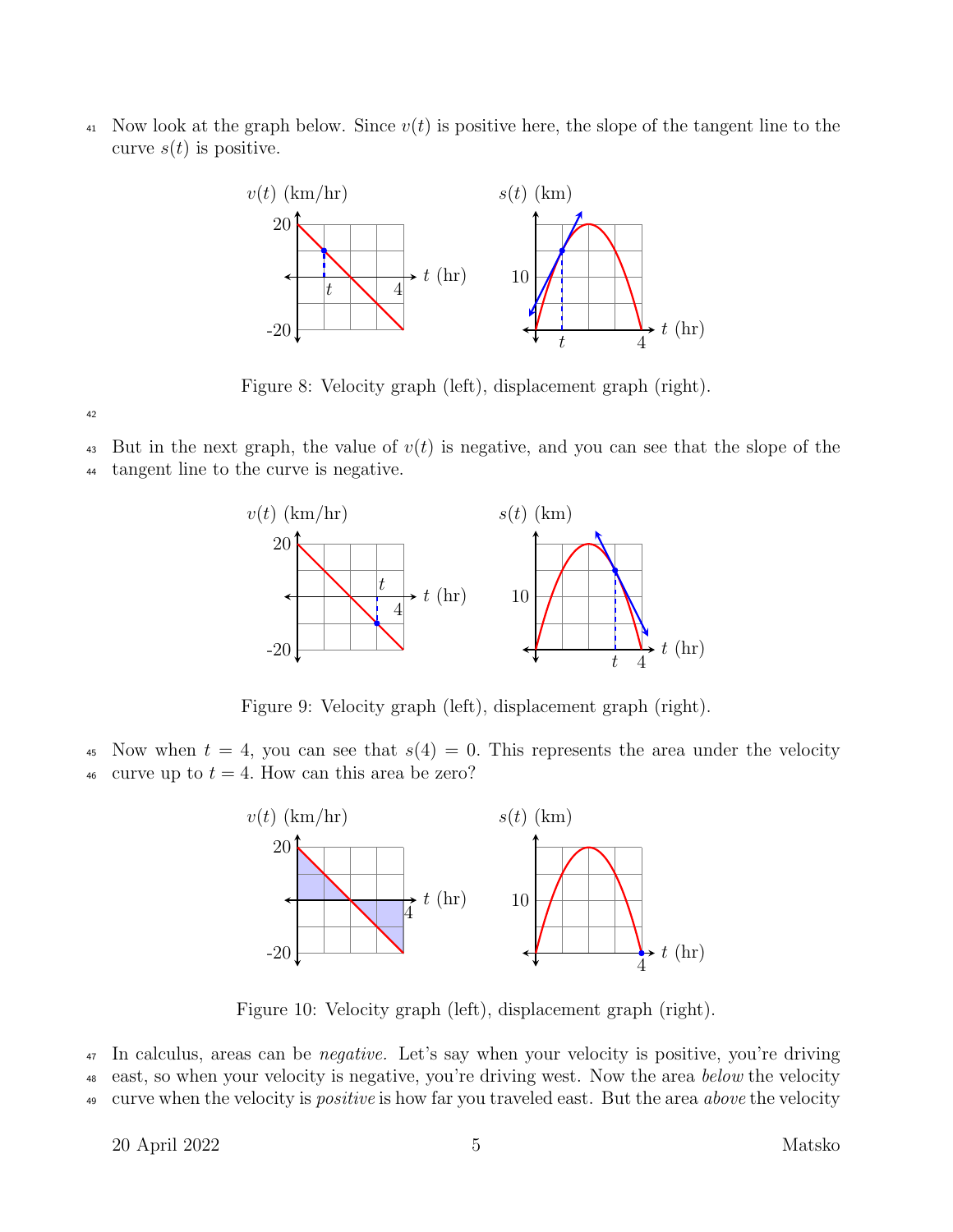<sup>41</sup> Now look at the graph below. Since  $v(t)$  is positive here, the slope of the tangent line to the curve  $s(t)$  is positive.



Figure 8: Velocity graph (left), displacement graph (right).

42

<sup>43</sup> But in the next graph, the value of  $v(t)$  is negative, and you can see that the slope of the

<sup>44</sup> tangent line to the curve is negative.



Figure 9: Velocity graph (left), displacement graph (right).

45 Now when  $t = 4$ , you can see that  $s(4) = 0$ . This represents the area under the velocity 46 curve up to  $t = 4$ . How can this area be zero?



Figure 10: Velocity graph (left), displacement graph (right).

<sup>47</sup> In calculus, areas can be *negative*. Let's say when your velocity is positive, you're driving 48 east, so when your velocity is negative, you're driving west. Now the area below the velocity <sup>49</sup> curve when the velocity is *positive* is how far you traveled east. But the area *above* the velocity